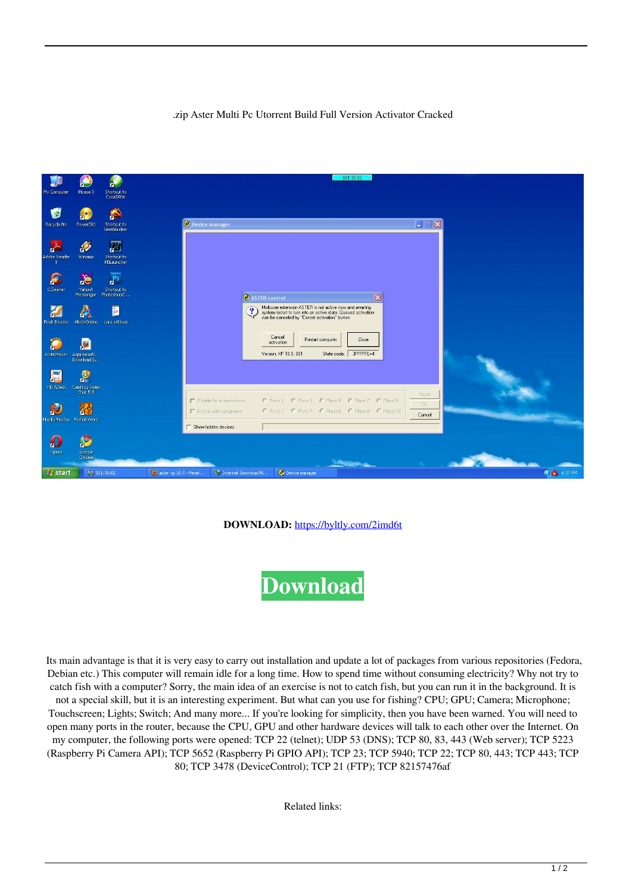## .zip Aster Multi Pc Utorrent Build Full Version Activator Cracked



## **DOWNLOAD:** <https://byltly.com/2imd6t>



 Its main advantage is that it is very easy to carry out installation and update a lot of packages from various repositories (Fedora, Debian etc.) This computer will remain idle for a long time. How to spend time without consuming electricity? Why not try to catch fish with a computer? Sorry, the main idea of an exercise is not to catch fish, but you can run it in the background. It is not a special skill, but it is an interesting experiment. But what can you use for fishing? CPU; GPU; Camera; Microphone; Touchscreen; Lights; Switch; And many more... If you're looking for simplicity, then you have been warned. You will need to open many ports in the router, because the CPU, GPU and other hardware devices will talk to each other over the Internet. On my computer, the following ports were opened: TCP 22 (telnet); UDP 53 (DNS); TCP 80, 83, 443 (Web server); TCP 5223 (Raspberry Pi Camera API); TCP 5652 (Raspberry Pi GPIO API); TCP 23; TCP 5940; TCP 22; TCP 80, 443; TCP 443; TCP 80; TCP 3478 (DeviceControl); TCP 21 (FTP); TCP 82157476af

Related links: